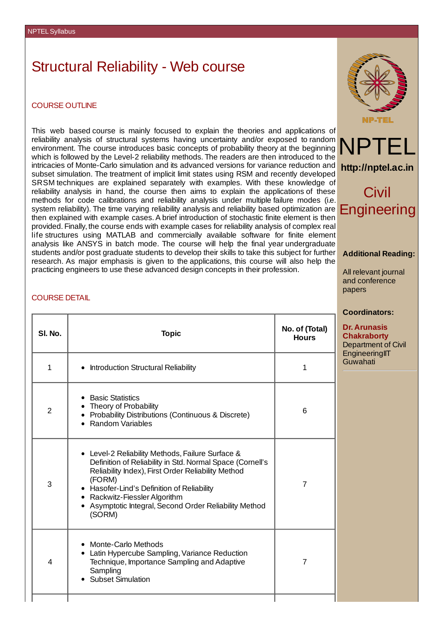# Structural Reliability - Web course

#### COURSE OUTLINE

This web based course is mainly focused to explain the theories and applications of reliability analysis of structural systems having uncertainty and/or exposed to random environment. The course introduces basic concepts of probability theory at the beginning which is followed by the Level-2 reliability methods. The readers are then introduced to the intricacies of Monte-Carlo simulation and its advanced versions for variance reduction and subset simulation. The treatment of implicit limit states using RSM and recently developed SRSM techniques are explained separately with examples. With these knowledge of reliability analysis in hand, the course then aims to explain the applications of these methods for code calibrations and reliability analysis under multiple failure modes (i.e. system reliability). The time varying reliability analysis and reliability based optimization are then explained with example cases. A brief introduction of stochastic finite element is then provided. Finally, the course ends with example cases for reliability analysis of complex real life structures using MATLAB and commercially available software for finite element analysis like ANSYS in batch mode. The course will help the final year undergraduate students and/or post graduate students to develop their skills to take this subject for further research. As major emphasis is given to the applications, this course will also help the practicing engineers to use these advanced design concepts in their profession. NPT



# Civil **Engineering**

**http://nptel.ac.in**

#### **Additional Reading:**

All relevant journal and conference papers

#### **Coordinators:**

**Dr. Arunasis Chakraborty** Department of Civil **EngineeringIIT** Guwahati

## COURSE DETAIL

| SI. No.        | <b>Topic</b>                                                                                                                                                                                                                                                                                                                     | No. of (Total)<br><b>Hours</b> |
|----------------|----------------------------------------------------------------------------------------------------------------------------------------------------------------------------------------------------------------------------------------------------------------------------------------------------------------------------------|--------------------------------|
| $\mathbf{1}$   | <b>Introduction Structural Reliability</b>                                                                                                                                                                                                                                                                                       | $\mathbf{1}$                   |
| $\overline{2}$ | <b>Basic Statistics</b><br>Theory of Probability<br>Probability Distributions (Continuous & Discrete)<br>• Random Variables                                                                                                                                                                                                      | 6                              |
| 3              | • Level-2 Reliability Methods, Failure Surface &<br>Definition of Reliability in Std. Normal Space (Cornell's<br>Reliability Index), First Order Reliability Method<br>(FORM)<br>• Hasofer-Lind's Definition of Reliability<br>• Rackwitz-Fiessler Algorithm<br>• Asymptotic Integral, Second Order Reliability Method<br>(SORM) | $\overline{7}$                 |
| $\overline{4}$ | <b>Monte-Carlo Methods</b><br>$\bullet$<br>• Latin Hypercube Sampling, Variance Reduction<br>Technique, Importance Sampling and Adaptive<br>Sampling<br><b>Subset Simulation</b>                                                                                                                                                 | 7                              |
|                |                                                                                                                                                                                                                                                                                                                                  |                                |